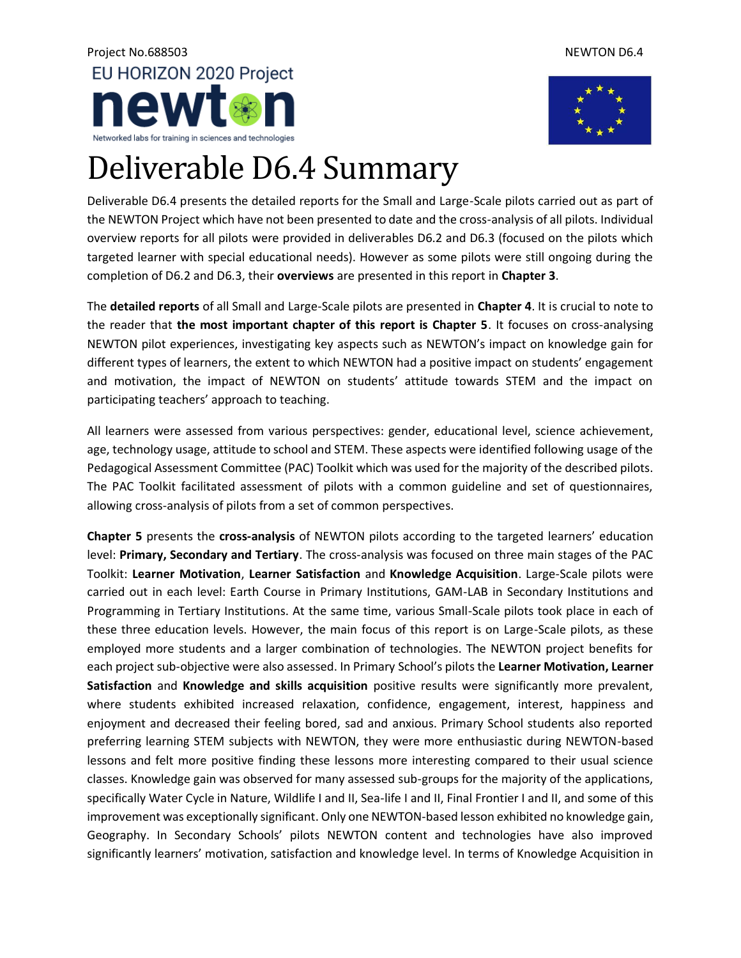## Project No.688503 NewTON D6.4 EU HORIZON 2020 Project ewt Networked labs for training in sciences and technologies



## Deliverable D6.4 Summary

Deliverable D6.4 presents the detailed reports for the Small and Large-Scale pilots carried out as part of the NEWTON Project which have not been presented to date and the cross-analysis of all pilots. Individual overview reports for all pilots were provided in deliverables D6.2 and D6.3 (focused on the pilots which targeted learner with special educational needs). However as some pilots were still ongoing during the completion of D6.2 and D6.3, their **overviews** are presented in this report in **Chapter 3**.

The **detailed reports** of all Small and Large-Scale pilots are presented in **Chapter 4**. It is crucial to note to the reader that **the most important chapter of this report is Chapter 5**. It focuses on cross-analysing NEWTON pilot experiences, investigating key aspects such as NEWTON's impact on knowledge gain for different types of learners, the extent to which NEWTON had a positive impact on students' engagement and motivation, the impact of NEWTON on students' attitude towards STEM and the impact on participating teachers' approach to teaching.

All learners were assessed from various perspectives: gender, educational level, science achievement, age, technology usage, attitude to school and STEM. These aspects were identified following usage of the Pedagogical Assessment Committee (PAC) Toolkit which was used for the majority of the described pilots. The PAC Toolkit facilitated assessment of pilots with a common guideline and set of questionnaires, allowing cross-analysis of pilots from a set of common perspectives.

**Chapter 5** presents the **cross-analysis** of NEWTON pilots according to the targeted learners' education level: **Primary, Secondary and Tertiary**. The cross-analysis was focused on three main stages of the PAC Toolkit: **Learner Motivation**, **Learner Satisfaction** and **Knowledge Acquisition**. Large-Scale pilots were carried out in each level: Earth Course in Primary Institutions, GAM-LAB in Secondary Institutions and Programming in Tertiary Institutions. At the same time, various Small-Scale pilots took place in each of these three education levels. However, the main focus of this report is on Large-Scale pilots, as these employed more students and a larger combination of technologies. The NEWTON project benefits for each project sub-objective were also assessed. In Primary School's pilots the **Learner Motivation, Learner Satisfaction** and **Knowledge and skills acquisition** positive results were significantly more prevalent, where students exhibited increased relaxation, confidence, engagement, interest, happiness and enjoyment and decreased their feeling bored, sad and anxious. Primary School students also reported preferring learning STEM subjects with NEWTON, they were more enthusiastic during NEWTON-based lessons and felt more positive finding these lessons more interesting compared to their usual science classes. Knowledge gain was observed for many assessed sub-groups for the majority of the applications, specifically Water Cycle in Nature, Wildlife I and II, Sea-life I and II, Final Frontier I and II, and some of this improvement was exceptionally significant. Only one NEWTON-based lesson exhibited no knowledge gain, Geography. In Secondary Schools' pilots NEWTON content and technologies have also improved significantly learners' motivation, satisfaction and knowledge level. In terms of Knowledge Acquisition in